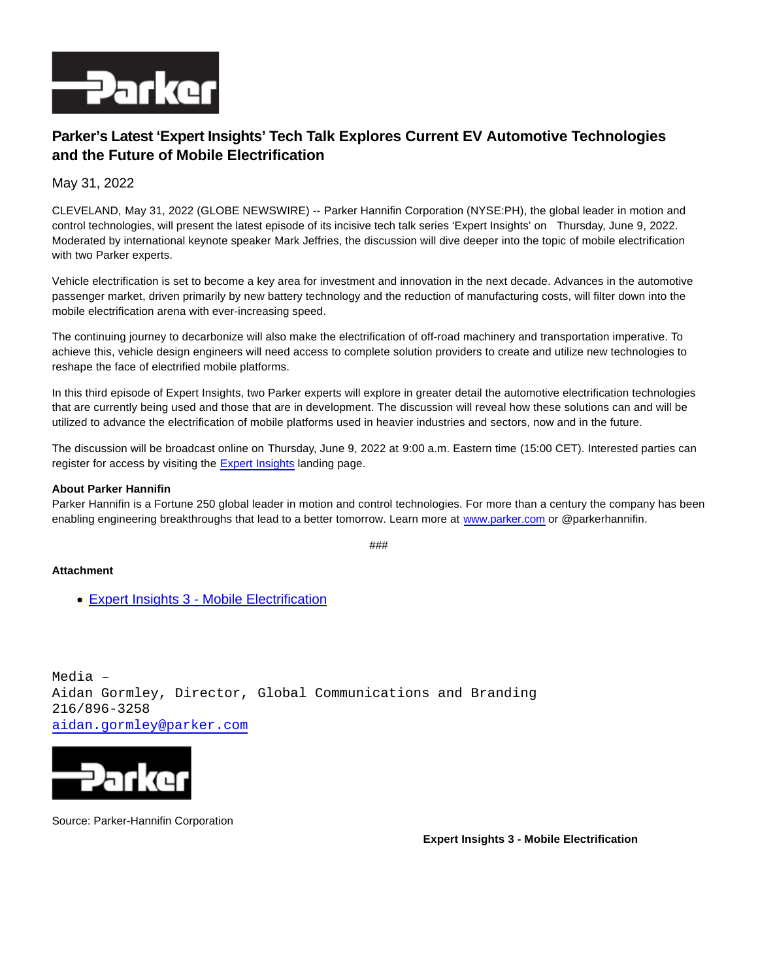

## **Parker's Latest 'Expert Insights' Tech Talk Explores Current EV Automotive Technologies and the Future of Mobile Electrification**

May 31, 2022

CLEVELAND, May 31, 2022 (GLOBE NEWSWIRE) -- Parker Hannifin Corporation (NYSE:PH), the global leader in motion and control technologies, will present the latest episode of its incisive tech talk series 'Expert Insights' on Thursday, June 9, 2022. Moderated by international keynote speaker Mark Jeffries, the discussion will dive deeper into the topic of mobile electrification with two Parker experts.

Vehicle electrification is set to become a key area for investment and innovation in the next decade. Advances in the automotive passenger market, driven primarily by new battery technology and the reduction of manufacturing costs, will filter down into the mobile electrification arena with ever-increasing speed.

The continuing journey to decarbonize will also make the electrification of off-road machinery and transportation imperative. To achieve this, vehicle design engineers will need access to complete solution providers to create and utilize new technologies to reshape the face of electrified mobile platforms.

In this third episode of Expert Insights, two Parker experts will explore in greater detail the automotive electrification technologies that are currently being used and those that are in development. The discussion will reveal how these solutions can and will be utilized to advance the electrification of mobile platforms used in heavier industries and sectors, now and in the future.

The discussion will be broadcast online on Thursday, June 9, 2022 at 9:00 a.m. Eastern time (15:00 CET). Interested parties can register for access by visiting the [Expert Insights l](https://www.globenewswire.com/Tracker?data=GRLnv6sW99O9eq80OOd3F1uewvJNJPAe5JAcsPEkvFEG448as-ZFPKV8gxwnlL97GlmlgkV2ttc2Fyj7Yx4p3uyhjAMcOamvxpeHeslp6yfkcnyzVj262sbc2kMUNWDSpocxRQj57NLYLEDIVeoqnyn-Brx0-4xkCZqJgVoFXEQ=)anding page.

## **About Parker Hannifin**

Parker Hannifin is a Fortune 250 global leader in motion and control technologies. For more than a century the company has been enabling engineering breakthroughs that lead to a better tomorrow. Learn more at [www.parker.com o](http://www.parker.com/)r @parkerhannifin.

###

## **Attachment**

[Expert Insights 3 - Mobile Electrification](https://ml.globenewswire.com/Resource/Download/50a5ae65-a5f9-4633-9939-41c26707a4e2)

Media – Aidan Gormley, Director, Global Communications and Branding 216/896-3258 [aidan.gormley@parker.com](mailto:aidan.gormley@parker.com)



Source: Parker-Hannifin Corporation

**Expert Insights 3 - Mobile Electrification**